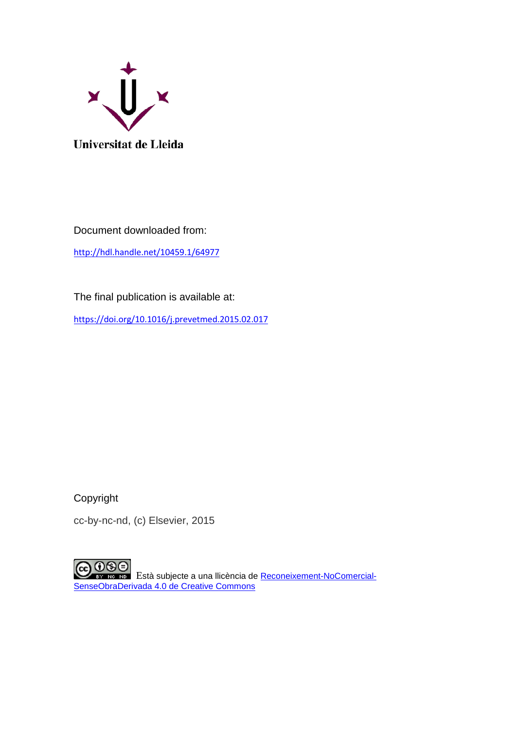

Document downloaded from:

<http://hdl.handle.net/10459.1/64977>

The final publication is available at:

<https://doi.org/10.1016/j.prevetmed.2015.02.017>

Copyright

cc-by-nc-nd, (c) Elsevier, 2015

CO OSO Està subjecte a una llicència de [Reconeixement-NoComercial-](http://creativecommons.org/licenses/by-nc-nd/4.0/)[SenseObraDerivada 4.0 de Creative Commons](http://creativecommons.org/licenses/by-nc-nd/4.0/)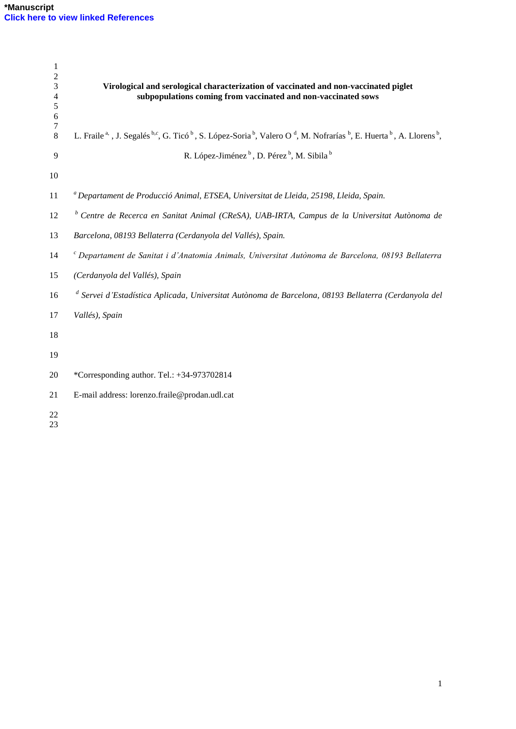| $\mathbf{1}$<br>$\mathfrak 2$ |                                                                                                                                                                                                                   |
|-------------------------------|-------------------------------------------------------------------------------------------------------------------------------------------------------------------------------------------------------------------|
| $\mathfrak{Z}$                | Virological and serological characterization of vaccinated and non-vaccinated piglet                                                                                                                              |
| 4                             | subpopulations coming from vaccinated and non-vaccinated sows                                                                                                                                                     |
| 5<br>6                        |                                                                                                                                                                                                                   |
| 7                             |                                                                                                                                                                                                                   |
| 8                             | L. Fraile <sup>a,</sup> , J. Segalés <sup>b,c</sup> , G. Ticó <sup>b</sup> , S. López-Soria <sup>b</sup> , Valero O <sup>d</sup> , M. Nofrarías <sup>b</sup> , E. Huerta <sup>b</sup> , A. Llorens <sup>b</sup> , |
| 9                             | R. López-Jiménez <sup>b</sup> , D. Pérez <sup>b</sup> , M. Sibila <sup>b</sup>                                                                                                                                    |
| 10                            |                                                                                                                                                                                                                   |
| 11                            | <sup>a</sup> Departament de Producció Animal, ETSEA, Universitat de Lleida, 25198, Lleida, Spain.                                                                                                                 |
| 12                            | <sup>b</sup> Centre de Recerca en Sanitat Animal (CReSA), UAB-IRTA, Campus de la Universitat Autònoma de                                                                                                          |
| 13                            | Barcelona, 08193 Bellaterra (Cerdanyola del Vallés), Spain.                                                                                                                                                       |
| 14                            | $c$ Departament de Sanitat i d'Anatomia Animals, Universitat Autònoma de Barcelona, 08193 Bellaterra                                                                                                              |
| 15                            | (Cerdanyola del Vallés), Spain                                                                                                                                                                                    |
| 16                            | <sup>d</sup> Servei d'Estadística Aplicada, Universitat Autònoma de Barcelona, 08193 Bellaterra (Cerdanyola del                                                                                                   |
| 17                            | Vallés), Spain                                                                                                                                                                                                    |
| 18                            |                                                                                                                                                                                                                   |
| 19                            |                                                                                                                                                                                                                   |
| 20                            | *Corresponding author. Tel.: +34-973702814                                                                                                                                                                        |
| 21                            | E-mail address: lorenzo.fraile@prodan.udl.cat                                                                                                                                                                     |
| 22                            |                                                                                                                                                                                                                   |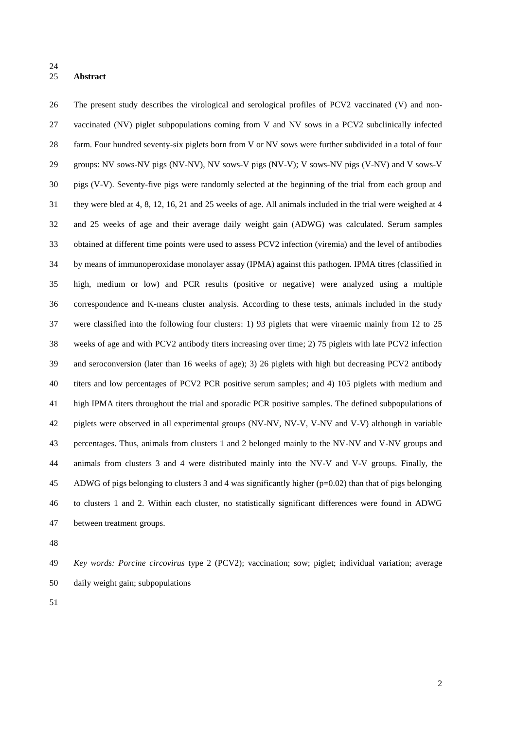### **Abstract**

 The present study describes the virological and serological profiles of PCV2 vaccinated (V) and non- vaccinated (NV) piglet subpopulations coming from V and NV sows in a PCV2 subclinically infected farm. Four hundred seventy-six piglets born from V or NV sows were further subdivided in a total of four groups: NV sows-NV pigs (NV-NV), NV sows-V pigs (NV-V); V sows-NV pigs (V-NV) and V sows-V pigs (V-V). Seventy-five pigs were randomly selected at the beginning of the trial from each group and they were bled at 4, 8, 12, 16, 21 and 25 weeks of age. All animals included in the trial were weighed at 4 and 25 weeks of age and their average daily weight gain (ADWG) was calculated. Serum samples obtained at different time points were used to assess PCV2 infection (viremia) and the level of antibodies by means of immunoperoxidase monolayer assay (IPMA) against this pathogen. IPMA titres (classified in high, medium or low) and PCR results (positive or negative) were analyzed using a multiple correspondence and K-means cluster analysis. According to these tests, animals included in the study were classified into the following four clusters: 1) 93 piglets that were viraemic mainly from 12 to 25 weeks of age and with PCV2 antibody titers increasing over time; 2) 75 piglets with late PCV2 infection and seroconversion (later than 16 weeks of age); 3) 26 piglets with high but decreasing PCV2 antibody titers and low percentages of PCV2 PCR positive serum samples; and 4) 105 piglets with medium and high IPMA titers throughout the trial and sporadic PCR positive samples. The defined subpopulations of piglets were observed in all experimental groups (NV-NV, NV-V, V-NV and V-V) although in variable percentages. Thus, animals from clusters 1 and 2 belonged mainly to the NV-NV and V-NV groups and animals from clusters 3 and 4 were distributed mainly into the NV-V and V-V groups. Finally, the ADWG of pigs belonging to clusters 3 and 4 was significantly higher (p=0.02) than that of pigs belonging to clusters 1 and 2. Within each cluster, no statistically significant differences were found in ADWG between treatment groups.

 *Key words: Porcine circovirus* type 2 (PCV2); vaccination; sow; piglet; individual variation; average daily weight gain; subpopulations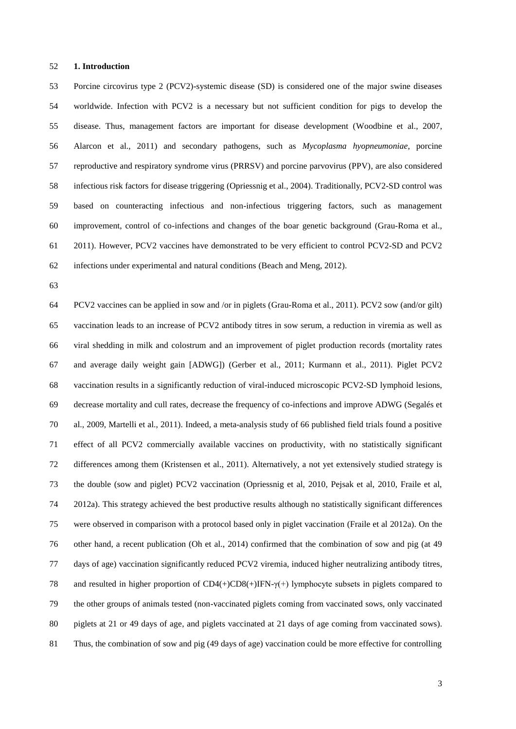#### **1. Introduction**

 Porcine circovirus type 2 (PCV2)-systemic disease (SD) is considered one of the major swine diseases worldwide. Infection with PCV2 is a necessary but not sufficient condition for pigs to develop the disease. Thus, management factors are important for disease development [\(Woodbine et al., 2007,](http://www.sciencedirect.com/science/article/pii/S1090023313002591#b0115) [Alarcon et al., 2011\)](http://www.sciencedirect.com/science/article/pii/S1090023313002591#b0005) and secondary pathogens, such as *Mycoplasma hyopneumoniae*, porcine reproductive and respiratory syndrome virus (PRRSV) and porcine parvovirus (PPV), are also considered infectious risk factors for disease triggering [\(Opriessnig et al., 2004\)](http://www.sciencedirect.com/science/article/pii/S1090023313002591#b0065). Traditionally, PCV2-SD control was based on counteracting infectious and non-infectious triggering factors, such as management improvement, control of co-infections and changes of the boar genetic background (Grau-Roma et al., 2011). However, PCV2 vaccines have demonstrated to be very efficient to control PCV2-SD and PCV2 infections under experimental and natural conditions (Beach and Meng, 2012).

 PCV2 vaccines can be applied in sow and /or in piglets (Grau-Roma et al., 2011). PCV2 sow (and/or gilt) vaccination leads to an increase of PCV2 antibody titres in sow serum, a reduction in viremia as well as viral shedding in milk and colostrum and an improvement of piglet production records (mortality rates and average daily weight gain [ADWG]) (Gerber et al., 2011; Kurmann et al., 2011). Piglet PCV2 vaccination results in a significantly reduction of viral-induced microscopic PCV2-SD lymphoid lesions, decrease mortality and cull rates, decrease the frequency of co-infections and improve ADWG (Segalés et al., 2009, Martelli et al., 2011). Indeed, a meta-analysis study of 66 published field trials found a positive effect of all PCV2 commercially available vaccines on productivity, with no statistically significant differences among them (Kristensen et al., 2011). Alternatively, a not yet extensively studied strategy is the double (sow and piglet) PCV2 vaccination (Opriessnig et al, 2010, Pejsak et al, 2010, Fraile et al, 2012a). This strategy achieved the best productive results although no statistically significant differences were observed in comparison with a protocol based only in piglet vaccination (Fraile et al 2012a). On the other hand, a recent publication (Oh et al., 2014) confirmed that the combination of sow and pig (at 49 days of age) vaccination significantly reduced PCV2 viremia, induced higher neutralizing antibody titres, and resulted in higher proportion of CD4(+)CD8(+)IFN-γ(+) lymphocyte subsets in piglets compared to the other groups of animals tested (non-vaccinated piglets coming from vaccinated sows, only vaccinated piglets at 21 or 49 days of age, and piglets vaccinated at 21 days of age coming from vaccinated sows). Thus, the combination of sow and pig (49 days of age) vaccination could be more effective for controlling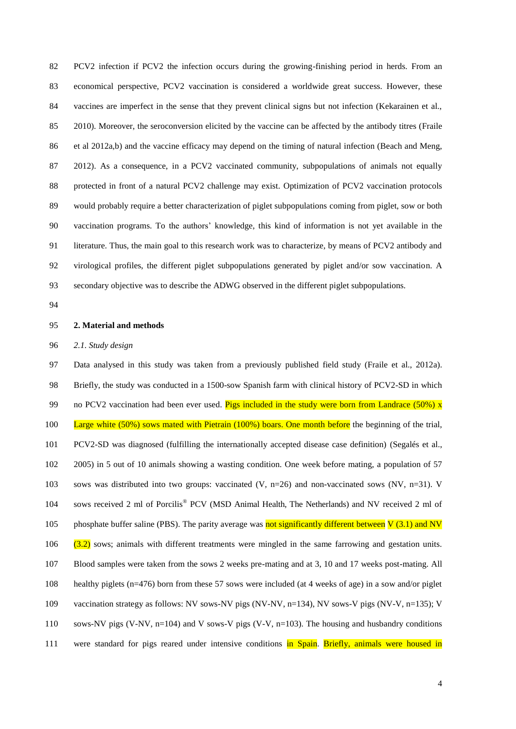PCV2 infection if PCV2 the infection occurs during the growing-finishing period in herds. From an economical perspective, PCV2 vaccination is considered a worldwide great success. However, these vaccines are imperfect in the sense that they prevent clinical signs but not infection (Kekarainen et al., 2010). Moreover, the seroconversion elicited by the vaccine can be affected by the antibody titres (Fraile et al 2012a,b) and the vaccine efficacy may depend on the timing of natural infection (Beach and Meng, 2012). As a consequence, in a PCV2 vaccinated community, subpopulations of animals not equally protected in front of a natural PCV2 challenge may exist. Optimization of PCV2 vaccination protocols would probably require a better characterization of piglet subpopulations coming from piglet, sow or both vaccination programs. To the authors' knowledge, this kind of information is not yet available in the literature. Thus, the main goal to this research work was to characterize, by means of PCV2 antibody and virological profiles, the different piglet subpopulations generated by piglet and/or sow vaccination. A secondary objective was to describe the ADWG observed in the different piglet subpopulations.

#### **2. Material and methods**

*2.1. Study design*

 Data analysed in this study was taken from a previously published field study (Fraile et al., 2012a). Briefly, the study was conducted in a 1500-sow Spanish farm with clinical history of PCV2-SD in which 99 no PCV2 vaccination had been ever used. Pigs included in the study were born from Landrace  $(50\%)$  x 100 Large white (50%) sows mated with Pietrain (100%) boars. One month before the beginning of the trial, PCV2-SD was diagnosed (fulfilling the internationally accepted disease case definition) (Segalés et al., 2005) in 5 out of 10 animals showing a wasting condition. One week before mating, a population of 57 sows was distributed into two groups: vaccinated (V, n=26) and non-vaccinated sows (NV, n=31). V 104 sows received 2 ml of Porcilis® PCV (MSD Animal Health, The Netherlands) and NV received 2 ml of 105 phosphate buffer saline (PBS). The parity average was **not significantly different between**  $V$  **(3.1) and NV** 106 (3.2) sows; animals with different treatments were mingled in the same farrowing and gestation units. Blood samples were taken from the sows 2 weeks pre-mating and at 3, 10 and 17 weeks post-mating. All healthy piglets (n=476) born from these 57 sows were included (at 4 weeks of age) in a sow and/or piglet vaccination strategy as follows: NV sows-NV pigs (NV-NV, n=134), NV sows-V pigs (NV-V, n=135); V sows-NV pigs (V-NV, n=104) and V sows-V pigs (V-V, n=103). The housing and husbandry conditions 111 were standard for pigs reared under intensive conditions in Spain. Briefly, animals were housed in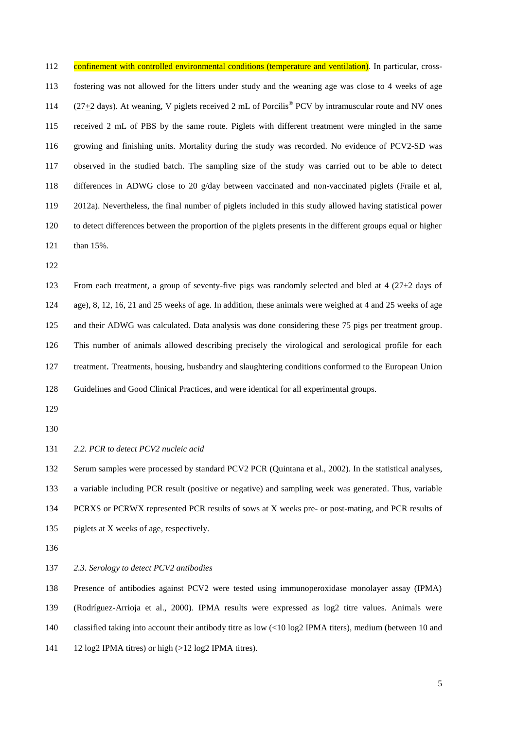112 confinement with controlled environmental conditions (temperature and ventilation). In particular, cross- fostering was not allowed for the litters under study and the weaning age was close to 4 weeks of age 114 ( $27\pm 2$  days). At weaning, V piglets received 2 mL of Porcilis<sup>®</sup> PCV by intramuscular route and NV ones received 2 mL of PBS by the same route. Piglets with different treatment were mingled in the same growing and finishing units. Mortality during the study was recorded. No evidence of PCV2-SD was observed in the studied batch. The sampling size of the study was carried out to be able to detect differences in ADWG close to 20 g/day between vaccinated and non-vaccinated piglets (Fraile et al, 2012a). Nevertheless, the final number of piglets included in this study allowed having statistical power to detect differences between the proportion of the piglets presents in the different groups equal or higher than 15%.

 From each treatment, a group of seventy-five pigs was randomly selected and bled at 4 (27±2 days of age), 8, 12, 16, 21 and 25 weeks of age. In addition, these animals were weighed at 4 and 25 weeks of age and their ADWG was calculated. Data analysis was done considering these 75 pigs per treatment group. This number of animals allowed describing precisely the virological and serological profile for each treatment. Treatments, housing, husbandry and slaughtering conditions conformed to the European Union

Guidelines and Good Clinical Practices, and were identical for all experimental groups.

*2.2. PCR to detect PCV2 nucleic acid*

 Serum samples were processed by standard PCV2 PCR (Quintana et al., 2002). In the statistical analyses, a variable including PCR result (positive or negative) and sampling week was generated. Thus, variable PCRXS or PCRWX represented PCR results of sows at X weeks pre- or post-mating, and PCR results of piglets at X weeks of age, respectively.

*2.3. Serology to detect PCV2 antibodies*

 Presence of antibodies against PCV2 were tested using immunoperoxidase monolayer assay (IPMA) (Rodríguez-Arrioja et al., 2000). IPMA results were expressed as log2 titre values. Animals were classified taking into account their antibody titre as low (<10 log2 IPMA titers), medium (between 10 and 12 log2 IPMA titres) or high (>12 log2 IPMA titres).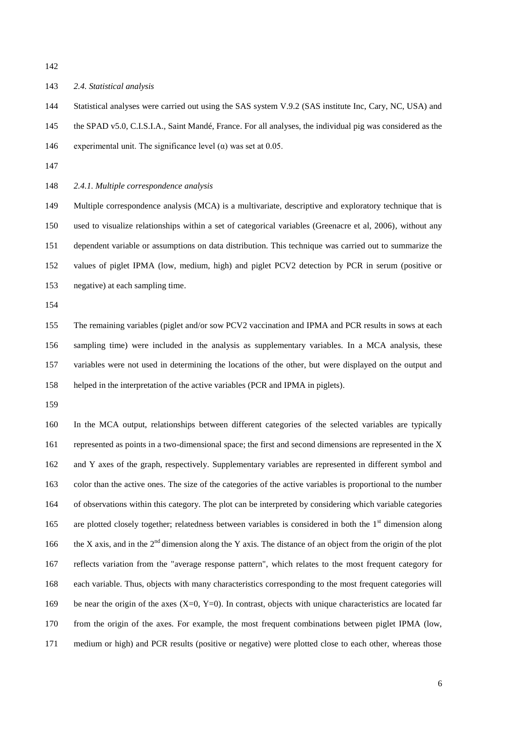#### *2.4. Statistical analysis*

 Statistical analyses were carried out using the SAS system V.9.2 (SAS institute Inc, Cary, NC, USA) and the SPAD v5.0, C.I.S.I.A., Saint Mandé, France. For all analyses, the individual pig was considered as the 146 experimental unit. The significance level ( $\alpha$ ) was set at 0.05.

*2.4.1. Multiple correspondence analysis*

 Multiple correspondence analysis (MCA) is a multivariate, descriptive and exploratory technique that is used to visualize relationships within a set of categorical variables (Greenacre et al, 2006), without any dependent variable or assumptions on data distribution. This technique was carried out to summarize the values of piglet IPMA (low, medium, high) and piglet PCV2 detection by PCR in serum (positive or negative) at each sampling time.

 The remaining variables (piglet and/or sow PCV2 vaccination and IPMA and PCR results in sows at each sampling time) were included in the analysis as supplementary variables. In a MCA analysis, these variables were not used in determining the locations of the other, but were displayed on the output and helped in the interpretation of the active variables (PCR and IPMA in piglets).

 In the MCA output, relationships between different categories of the selected variables are typically represented as points in a two-dimensional space; the first and second dimensions are represented in the X and Y axes of the graph, respectively. Supplementary variables are represented in different symbol and color than the active ones. The size of the categories of the active variables is proportional to the number of observations within this category. The plot can be interpreted by considering which variable categories 165 are plotted closely together; relatedness between variables is considered in both the  $1<sup>st</sup>$  dimension along 166 the X axis, and in the  $2<sup>nd</sup>$  dimension along the Y axis. The distance of an object from the origin of the plot reflects variation from the "average response pattern", which relates to the most frequent category for each variable. Thus, objects with many characteristics corresponding to the most frequent categories will 169 be near the origin of the axes  $(X=0, Y=0)$ . In contrast, objects with unique characteristics are located far from the origin of the axes. For example, the most frequent combinations between piglet IPMA (low, medium or high) and PCR results (positive or negative) were plotted close to each other, whereas those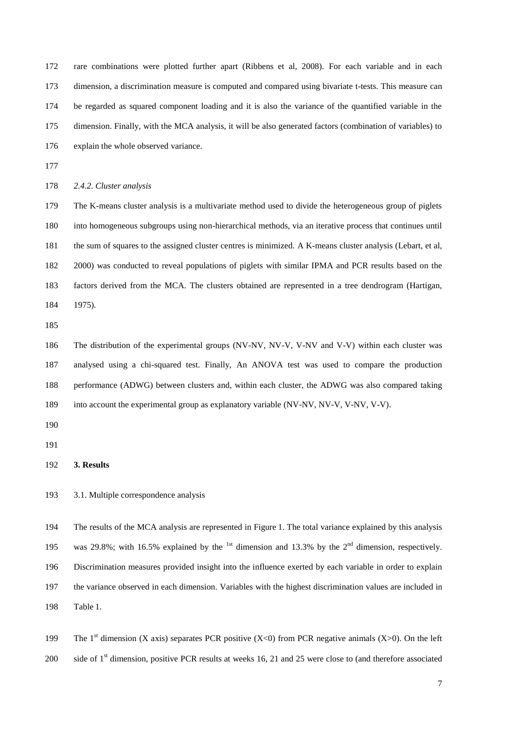rare combinations were plotted further apart (Ribbens et al, 2008). For each variable and in each dimension, a discrimination measure is computed and compared using bivariate t-tests. This measure can be regarded as squared component loading and it is also the variance of the quantified variable in the dimension. Finally, with the MCA analysis, it will be also generated factors (combination of variables) to explain the whole observed variance.

*2.4.2. Cluster analysis*

 The K-means cluster analysis is a multivariate method used to divide the heterogeneous group of piglets into homogeneous subgroups using non-hierarchical methods, via an iterative process that continues until the sum of squares to the assigned cluster centres is minimized. A K-means cluster analysis (Lebart, et al, 2000) was conducted to reveal populations of piglets with similar IPMA and PCR results based on the factors derived from the MCA. The clusters obtained are represented in a tree dendrogram (Hartigan, 1975).

 The distribution of the experimental groups (NV-NV, NV-V, V-NV and V-V) within each cluster was analysed using a chi-squared test. Finally, An ANOVA test was used to compare the production performance (ADWG) between clusters and, within each cluster, the ADWG was also compared taking into account the experimental group as explanatory variable (NV-NV, NV-V, V-NV, V-V).

**3. Results**

3.1. Multiple correspondence analysis

 The results of the MCA analysis are represented in Figure [1.](http://www.biomedcentral.com/1746-6148/8/217/figure/F1) The total variance explained by this analysis 195 was 29.8%; with 16.5% explained by the <sup>1st</sup> dimension and 13.3% by the  $2<sup>nd</sup>$  dimension, respectively. Discrimination measures provided insight into the influence exerted by each variable in order to explain the variance observed in each dimension. Variables with the highest discrimination values are included in Table [1.](http://www.biomedcentral.com/1746-6148/8/217/table/T4)

199 The 1<sup>st</sup> dimension (X axis) separates PCR positive (X<0) from PCR negative animals (X>0). On the left 200 side of  $1<sup>st</sup>$  dimension, positive PCR results at weeks 16, 21 and 25 were close to (and therefore associated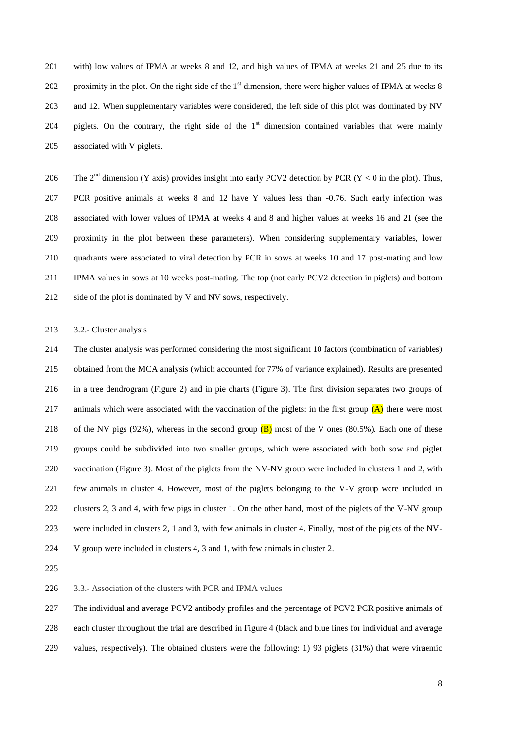with) low values of IPMA at weeks 8 and 12, and high values of IPMA at weeks 21 and 25 due to its 202 proximity in the plot. On the right side of the  $1<sup>st</sup>$  dimension, there were higher values of IPMA at weeks 8 and 12. When supplementary variables were considered, the left side of this plot was dominated by NV 204 piglets. On the contrary, the right side of the  $1<sup>st</sup>$  dimension contained variables that were mainly associated with V piglets.

206 The  $2<sup>nd</sup>$  dimension (Y axis) provides insight into early PCV2 detection by PCR (Y < 0 in the plot). Thus, PCR positive animals at weeks 8 and 12 have Y values less than -0.76. Such early infection was associated with lower values of IPMA at weeks 4 and 8 and higher values at weeks 16 and 21 (see the proximity in the plot between these parameters). When considering supplementary variables, lower quadrants were associated to viral detection by PCR in sows at weeks 10 and 17 post-mating and low IPMA values in sows at 10 weeks post-mating. The top (not early PCV2 detection in piglets) and bottom side of the plot is dominated by V and NV sows, respectively.

3.2.- Cluster analysis

 The cluster analysis was performed considering the most significant 10 factors (combination of variables) obtained from the MCA analysis (which accounted for 77% of variance explained). Results are presented in a tree dendrogram (Figure 2) and in pie charts (Figure 3). The first division separates two groups of 217 animals which were associated with the vaccination of the piglets: in the first group  $(A)$  there were most 218 of the NV pigs (92%), whereas in the second group  $(B)$  most of the V ones (80.5%). Each one of these groups could be subdivided into two smaller groups, which were associated with both sow and piglet vaccination (Figure 3). Most of the piglets from the NV-NV group were included in clusters 1 and 2, with few animals in cluster 4. However, most of the piglets belonging to the V-V group were included in clusters 2, 3 and 4, with few pigs in cluster 1. On the other hand, most of the piglets of the V-NV group were included in clusters 2, 1 and 3, with few animals in cluster 4. Finally, most of the piglets of the NV-V group were included in clusters 4, 3 and 1, with few animals in cluster 2.

3.3.- Association of the clusters with PCR and IPMA values

The individual and average PCV2 antibody profiles and the percentage of PCV2 PCR positive animals of

each cluster throughout the trial are described in Figure 4 (black and blue lines for individual and average

values, respectively). The obtained clusters were the following: 1) 93 piglets (31%) that were viraemic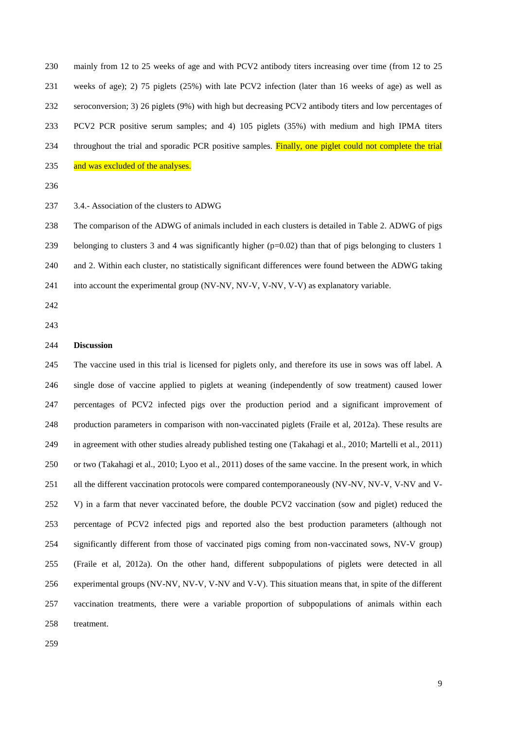mainly from 12 to 25 weeks of age and with PCV2 antibody titers increasing over time (from 12 to 25 weeks of age); 2) 75 piglets (25%) with late PCV2 infection (later than 16 weeks of age) as well as seroconversion; 3) 26 piglets (9%) with high but decreasing PCV2 antibody titers and low percentages of PCV2 PCR positive serum samples; and 4) 105 piglets (35%) with medium and high IPMA titers 234 throughout the trial and sporadic PCR positive samples. Finally, one piglet could not complete the trial 235 and was excluded of the analyses.

3.4.- Association of the clusters to ADWG

 The comparison of the ADWG of animals included in each clusters is detailed in Table 2. ADWG of pigs belonging to clusters 3 and 4 was significantly higher (p=0.02) than that of pigs belonging to clusters 1 and 2. Within each cluster, no statistically significant differences were found between the ADWG taking into account the experimental group (NV-NV, NV-V, V-NV, V-V) as explanatory variable.

- 
- 

## **Discussion**

 The vaccine used in this trial is licensed for piglets only, and therefore its use in sows was off label. A single dose of vaccine applied to piglets at weaning (independently of sow treatment) caused lower percentages of PCV2 infected pigs over the production period and a significant improvement of production parameters in comparison with non-vaccinated piglets (Fraile et al, 2012a). These results are in agreement with other studies already published testing one (Takahagi et al., 2010; Martelli et al., 2011) or two (Takahagi et al., 2010; Lyoo et al., 2011) doses of the same vaccine. In the present work, in which 251 all the different vaccination protocols were compared contemporaneously (NV-NV, NV-V, V-NV and V- V) in a farm that never vaccinated before, the double PCV2 vaccination (sow and piglet) reduced the percentage of PCV2 infected pigs and reported also the best production parameters (although not significantly different from those of vaccinated pigs coming from non-vaccinated sows, NV-V group) (Fraile et al, 2012a). On the other hand, different subpopulations of piglets were detected in all experimental groups (NV-NV, NV-V, V-NV and V-V). This situation means that, in spite of the different vaccination treatments, there were a variable proportion of subpopulations of animals within each treatment.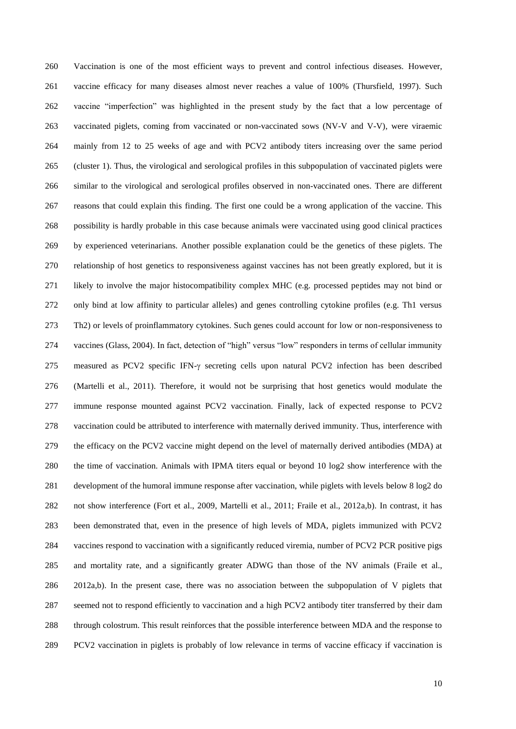Vaccination is one of the most efficient ways to prevent and control infectious diseases. However, vaccine efficacy for many diseases almost never reaches a value of 100% (Thursfield, 1997). Such vaccine "imperfection" was highlighted in the present study by the fact that a low percentage of vaccinated piglets, coming from vaccinated or non-vaccinated sows (NV-V and V-V), were viraemic mainly from 12 to 25 weeks of age and with PCV2 antibody titers increasing over the same period (cluster 1). Thus, the virological and serological profiles in this subpopulation of vaccinated piglets were similar to the virological and serological profiles observed in non-vaccinated ones. There are different reasons that could explain this finding. The first one could be a wrong application of the vaccine. This possibility is hardly probable in this case because animals were vaccinated using good clinical practices by experienced veterinarians. Another possible explanation could be the genetics of these piglets. The relationship of host genetics to responsiveness against vaccines has not been greatly explored, but it is likely to involve the major histocompatibility complex MHC (e.g. processed peptides may not bind or only bind at low affinity to particular alleles) and genes controlling cytokine profiles (e.g. Th1 versus Th2) or levels of proinflammatory cytokines. Such genes could account for low or non-responsiveness to vaccines (Glass, 2004). In fact, detection of "high" versus "low" responders in terms of cellular immunity 275 measured as PCV2 specific IFN- $\gamma$  secreting cells upon natural PCV2 infection has been described (Martelli et al., 2011). Therefore, it would not be surprising that host genetics would modulate the immune response mounted against PCV2 vaccination. Finally, lack of expected response to PCV2 vaccination could be attributed to interference with maternally derived immunity. Thus, interference with the efficacy on the PCV2 vaccine might depend on the level of maternally derived antibodies (MDA) at the time of vaccination. Animals with IPMA titers equal or beyond 10 log2 show interference with the development of the humoral immune response after vaccination, while piglets with levels below 8 log2 do not show interference (Fort et al., 2009, Martelli et al., 2011; Fraile et al., 2012a,b). In contrast, it has been demonstrated that, even in the presence of high levels of MDA, piglets immunized with PCV2 vaccines respond to vaccination with a significantly reduced viremia, number of PCV2 PCR positive pigs and mortality rate, and a significantly greater ADWG than those of the NV animals (Fraile et al., 2012a,b). In the present case, there was no association between the subpopulation of V piglets that seemed not to respond efficiently to vaccination and a high PCV2 antibody titer transferred by their dam through colostrum. This result reinforces that the possible interference between MDA and the response to PCV2 vaccination in piglets is probably of low relevance in terms of vaccine efficacy if vaccination is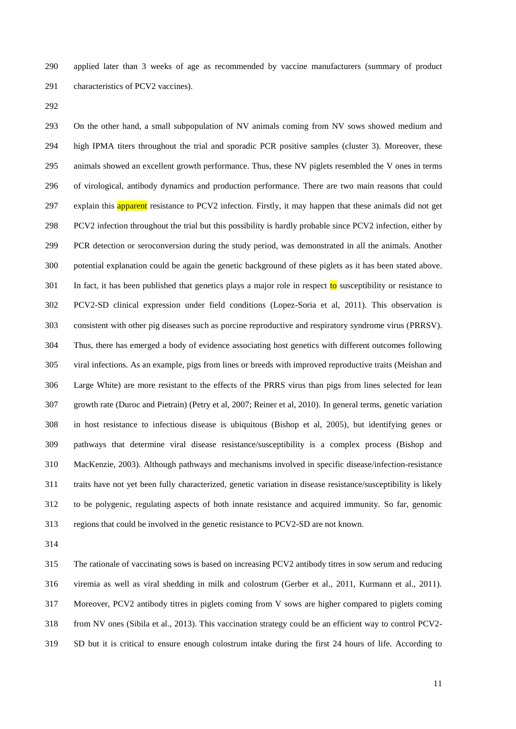applied later than 3 weeks of age as recommended by vaccine manufacturers (summary of product characteristics of PCV2 vaccines).

 On the other hand, a small subpopulation of NV animals coming from NV sows showed medium and high IPMA titers throughout the trial and sporadic PCR positive samples (cluster 3). Moreover, these animals showed an excellent growth performance. Thus, these NV piglets resembled the V ones in terms of virological, antibody dynamics and production performance. There are two main reasons that could 297 explain this **apparent** resistance to PCV2 infection. Firstly, it may happen that these animals did not get PCV2 infection throughout the trial but this possibility is hardly probable since PCV2 infection, either by PCR detection or seroconversion during the study period, was demonstrated in all the animals. Another potential explanation could be again the genetic background of these piglets as it has been stated above. 301 In fact, it has been published that genetics plays a major role in respect to susceptibility or resistance to PCV2-SD clinical expression under field conditions (Lopez-Soria et al, 2011). This observation is consistent with other pig diseases such as porcine reproductive and respiratory syndrome virus (PRRSV). Thus, there has emerged a body of evidence associating host genetics with different outcomes following viral infections. As an example, pigs from lines or breeds with improved reproductive traits (Meishan and Large White) are more resistant to the effects of the PRRS virus than pigs from lines selected for lean growth rate (Duroc and Pietrain) (Petry et al, 2007; Reiner et al, 2010). In general terms, genetic variation in host resistance to infectious disease is ubiquitous (Bishop et al, 2005), but identifying genes or pathways that determine viral disease resistance/susceptibility is a complex process (Bishop and MacKenzie, 2003). Although pathways and mechanisms involved in specific disease/infection-resistance traits have not yet been fully characterized, genetic variation in disease resistance/susceptibility is likely to be polygenic, regulating aspects of both innate resistance and acquired immunity. So far, genomic regions that could be involved in the genetic resistance to PCV2-SD are not known.

 The rationale of vaccinating sows is based on increasing PCV2 antibody titres in sow serum and reducing viremia as well as viral shedding in milk and colostrum (Gerber et al., 2011, Kurmann et al., 2011). Moreover, PCV2 antibody titres in piglets coming from V sows are higher compared to piglets coming from NV ones (Sibila et al., 2013). This vaccination strategy could be an efficient way to control PCV2- SD but it is critical to ensure enough colostrum intake during the first 24 hours of life. According to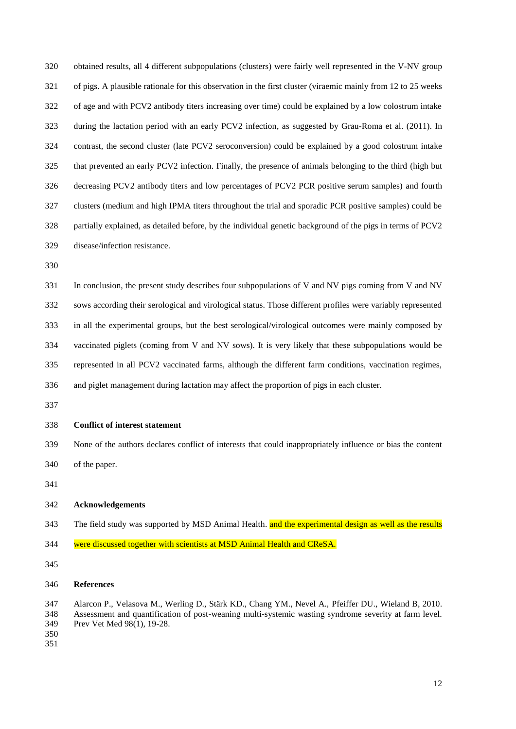obtained results, all 4 different subpopulations (clusters) were fairly well represented in the V-NV group of pigs. A plausible rationale for this observation in the first cluster (viraemic mainly from 12 to 25 weeks of age and with PCV2 antibody titers increasing over time) could be explained by a low colostrum intake during the lactation period with an early PCV2 infection, as suggested by Grau-Roma et al. (2011). In contrast, the second cluster (late PCV2 seroconversion) could be explained by a good colostrum intake that prevented an early PCV2 infection. Finally, the presence of animals belonging to the third (high but decreasing PCV2 antibody titers and low percentages of PCV2 PCR positive serum samples) and fourth clusters (medium and high IPMA titers throughout the trial and sporadic PCR positive samples) could be partially explained, as detailed before, by the individual genetic background of the pigs in terms of PCV2 disease/infection resistance.

 In conclusion, the present study describes four subpopulations of V and NV pigs coming from V and NV sows according their serological and virological status. Those different profiles were variably represented in all the experimental groups, but the best serological/virological outcomes were mainly composed by vaccinated piglets (coming from V and NV sows). It is very likely that these subpopulations would be represented in all PCV2 vaccinated farms, although the different farm conditions, vaccination regimes,

- and piglet management during lactation may affect the proportion of pigs in each cluster.
- 

### **Conflict of interest statement**

- None of the authors declares conflict of interests that could inappropriately influence or bias the content
- of the paper.
- 

### **Acknowledgements**

- 343 The field study was supported by MSD Animal Health. and the experimental design as well as the results
- 344 were discussed together with scientists at MSD Animal Health and CReSA.
- 

## **References**

 Alarcon P., Velasova M., Werling D., Stärk KD., Chang YM., Nevel A., Pfeiffer DU., Wieland B, 2010. Assessment and quantification of post-weaning multi-systemic wasting syndrome severity at farm level. Prev Vet Med 98(1), 19-28.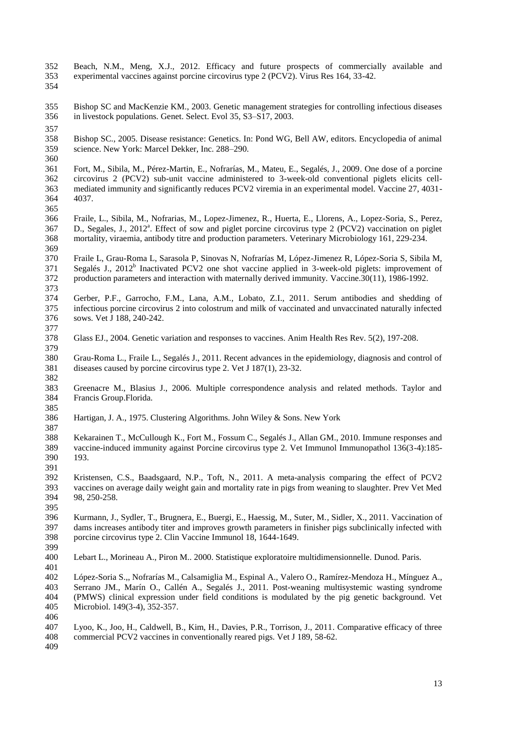- Beach, N.M., Meng, X.J., 2012. Efficacy and future prospects of commercially available and experimental vaccines against porcine circovirus type 2 (PCV2). Virus Res 164, 33-42.
- 

 Bishop SC and MacKenzie KM., 2003. Genetic management strategies for controlling infectious diseases in livestock populations. Genet. Select. Evol 35, S3–S17, 2003.

 Bishop SC., 2005. Disease resistance: Genetics. In: Pond WG, Bell AW, editors. Encyclopedia of animal science. New York: Marcel Dekker, Inc. 288–290.

 Fort, M., Sibila, M., Pérez-Martin, E., Nofrarías, M., Mateu, E., Segalés, J., 2009. One dose of a porcine circovirus 2 (PCV2) sub-unit vaccine administered to 3-week-old conventional piglets elicits cell- mediated immunity and significantly reduces PCV2 viremia in an experimental model. Vaccine 27, 4031- 4037.

 Fraile, L., Sibila, M., Nofrarias, M., Lopez-Jimenez, R., Huerta, E., Llorens, A., Lopez-Soria, S., Perez, 367 D., Segales, J., 2012<sup>a</sup>. Effect of sow and piglet porcine circovirus type 2 (PCV2) vaccination on piglet mortality, viraemia, antibody titre and production parameters. Veterinary Microbiology 161, 229-234. 

 Fraile L, Grau-Roma L, Sarasola P, Sinovas N, Nofrarías M, López-Jimenez R, López-Soria S, Sibila M, 371 Segalés J., 2012<sup>b</sup> [Inactivated PCV2 one shot vaccine applied in 3-week-old](http://www.ncbi.nlm.nih.gov/pubmed/22245604) piglets: improvement of [production parameters and interaction with maternally derived immunity.](http://www.ncbi.nlm.nih.gov/pubmed/22245604) Vaccine.30(11), 1986-1992. 

 Gerber, P.F., Garrocho, F.M., Lana, A.M., Lobato, Z.I., 2011. Serum antibodies and shedding of infectious porcine circovirus 2 into colostrum and milk of vaccinated and unvaccinated naturally infected sows. Vet J 188, 240-242.

[Glass](http://www.ncbi.nlm.nih.gov/pubmed?term=Glass%20EJ%5BAuthor%5D&cauthor=true&cauthor_uid=15984325) EJ., 2004. Genetic variation and responses to vaccines. [Anim Health Res Rev.](http://www.ncbi.nlm.nih.gov/pubmed/?term=Glass+and+2004+and+vaccine+response) 5(2), 197-208.

 Grau-Roma L., Fraile L., Segalés J., 2011. Recent advances in the epidemiology, diagnosis and control of diseases caused by porcine circovirus type 2. Vet J 187(1), 23-32.

 Greenacre M., Blasius J., 2006. Multiple correspondence analysis and related methods. Taylor and Francis Group.Florida.

- Hartigan, J. A., 1975. Clustering Algorithms. John Wiley & Sons. New York
- 

 [Kekarainen T.](http://www.ncbi.nlm.nih.gov/pubmed?term=Kekarainen%20T%5BAuthor%5D&cauthor=true&cauthor_uid=20451259), [McCullough K.](http://www.ncbi.nlm.nih.gov/pubmed?term=McCullough%20K%5BAuthor%5D&cauthor=true&cauthor_uid=20451259)[, Fort M.](http://www.ncbi.nlm.nih.gov/pubmed?term=Fort%20M%5BAuthor%5D&cauthor=true&cauthor_uid=20451259)[, Fossum C.](http://www.ncbi.nlm.nih.gov/pubmed?term=Fossum%20C%5BAuthor%5D&cauthor=true&cauthor_uid=20451259)[, Segalés J.](http://www.ncbi.nlm.nih.gov/pubmed?term=Segal%C3%A9s%20J%5BAuthor%5D&cauthor=true&cauthor_uid=20451259), [Allan GM.](http://www.ncbi.nlm.nih.gov/pubmed?term=Allan%20GM%5BAuthor%5D&cauthor=true&cauthor_uid=20451259), 2010. Immune responses and vaccine-induced immunity against Porcine circovirus type 2. Vet Immunol Immunopathol 136(3-4):185- 193.

- Kristensen, C.S., Baadsgaard, N.P., Toft, N., 2011. A meta-analysis comparing the effect of PCV2 vaccines on average daily weight gain and mortality rate in pigs from weaning to slaughter. Prev Vet Med 98, 250-258.
- Kurmann, J., Sydler, T., Brugnera, E., Buergi, E., Haessig, M., Suter, M., Sidler, X., 2011. Vaccination of dams increases antibody titer and improves growth parameters in finisher pigs subclinically infected with porcine circovirus type 2. Clin Vaccine Immunol 18, 1644-1649.
- 
- Lebart L., Morineau A., Piron M.. 2000. Statistique exploratoire multidimensionnelle. Dunod. Paris.
- [López-Soria S.](http://www.ncbi.nlm.nih.gov/pubmed?term=L%C3%B3pez-Soria%20S%5BAuthor%5D&cauthor=true&cauthor_uid=21215535),[, Nofrarías M.](http://www.ncbi.nlm.nih.gov/pubmed?term=Nofrar%C3%ADas%20M%5BAuthor%5D&cauthor=true&cauthor_uid=21215535), [Calsamiglia M.](http://www.ncbi.nlm.nih.gov/pubmed?term=Calsamiglia%20M%5BAuthor%5D&cauthor=true&cauthor_uid=21215535), [Espinal A.](http://www.ncbi.nlm.nih.gov/pubmed?term=Espinal%20A%5BAuthor%5D&cauthor=true&cauthor_uid=21215535), [Valero O.](http://www.ncbi.nlm.nih.gov/pubmed?term=Valero%20O%5BAuthor%5D&cauthor=true&cauthor_uid=21215535), [Ramírez-Mendoza H.](http://www.ncbi.nlm.nih.gov/pubmed?term=Ram%C3%ADrez-Mendoza%20H%5BAuthor%5D&cauthor=true&cauthor_uid=21215535), [Mínguez A.,](http://www.ncbi.nlm.nih.gov/pubmed?term=M%C3%ADnguez%20A%5BAuthor%5D&cauthor=true&cauthor_uid=21215535) [Serrano JM.](http://www.ncbi.nlm.nih.gov/pubmed?term=Serrano%20JM%5BAuthor%5D&cauthor=true&cauthor_uid=21215535), [Marín O.](http://www.ncbi.nlm.nih.gov/pubmed?term=Mar%C3%ADn%20O%5BAuthor%5D&cauthor=true&cauthor_uid=21215535), [Callén A.](http://www.ncbi.nlm.nih.gov/pubmed?term=Call%C3%A9n%20A%5BAuthor%5D&cauthor=true&cauthor_uid=21215535), [Segalés J.,](http://www.ncbi.nlm.nih.gov/pubmed?term=Segal%C3%A9s%20J%5BAuthor%5D&cauthor=true&cauthor_uid=21215535) 2011. Post-weaning multisystemic wasting syndrome (PMWS) clinical expression under field conditions is modulated by the pig genetic background. Vet Microbiol. 149(3-4), 352-357.
- Lyoo, K., Joo, H., Caldwell, B., Kim, H., Davies, P.R., Torrison, J., 2011. Comparative efficacy of three commercial PCV2 vaccines in conventionally reared pigs. Vet J 189, 58-62.
-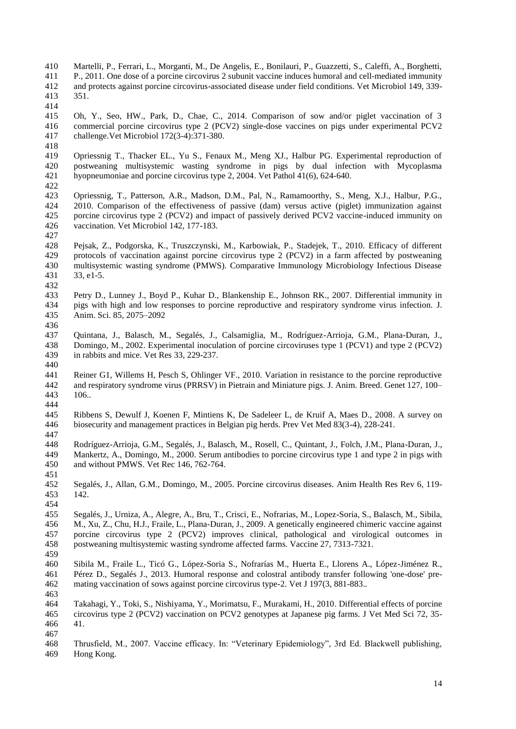- Martelli, P., Ferrari, L., Morganti, M., De Angelis, E., Bonilauri, P., Guazzetti, S., Caleffi, A., Borghetti, P., 2011. One dose of a porcine circovirus 2 subunit vaccine induces humoral and cell-mediated immunity and protects against porcine circovirus-associated disease under field conditions. Vet Microbiol 149, 339- 351.
- 

 Oh, Y., Seo, HW., Park, D., Chae, C., 2014. Comparison of sow and/or piglet vaccination of 3 commercial porcine circovirus type 2 (PCV2) single-dose vaccines on pigs under experimental PCV2 challenge.Vet Microbiol 172(3-4):371-380.

 Opriessnig T., Thacker EL., Yu S., Fenaux M., Meng XJ., Halbur PG. Experimental reproduction of postweaning multisystemic wasting syndrome in pigs by dual infection with Mycoplasma hyopneumoniae and porcine circovirus type 2, 2004. Vet Pathol 41(6), 624-640.

422<br>423

 Opriessnig, T., Patterson, A.R., Madson, D.M., Pal, N., Ramamoorthy, S., Meng, X.J., Halbur, P.G., 2010. Comparison of the effectiveness of passive (dam) versus active (piglet) immunization against porcine circovirus type 2 (PCV2) and impact of passively derived PCV2 vaccine-induced immunity on vaccination. Vet Microbiol 142, 177-183.

 Pejsak, Z., Podgorska, K., Truszczynski, M., Karbowiak, P., Stadejek, T., 2010. Efficacy of different protocols of vaccination against porcine circovirus type 2 (PCV2) in a farm affected by postweaning multisystemic wasting syndrome (PMWS). Comparative Immunology Microbiology Infectious Disease 33, e1-5. 

 Petry D., [Lunney J.](http://www.ncbi.nlm.nih.gov/pubmed?term=Lunney%20J%5BAuthor%5D&cauthor=true&cauthor_uid=17468430), [Boyd P.](http://www.ncbi.nlm.nih.gov/pubmed?term=Boyd%20P%5BAuthor%5D&cauthor=true&cauthor_uid=17468430), [Kuhar D.](http://www.ncbi.nlm.nih.gov/pubmed?term=Kuhar%20D%5BAuthor%5D&cauthor=true&cauthor_uid=17468430), [Blankenship E.](http://www.ncbi.nlm.nih.gov/pubmed?term=Blankenship%20E%5BAuthor%5D&cauthor=true&cauthor_uid=17468430), [Johnson RK.](http://www.ncbi.nlm.nih.gov/pubmed?term=Johnson%20RK%5BAuthor%5D&cauthor=true&cauthor_uid=17468430), 2007. Differential immunity in pigs with high and low responses to porcine reproductive and respiratory syndrome virus infection. J. Anim. Sci. 85, 2075–2092

 Quintana, J., Balasch, M., Segalés, J., Calsamiglia, M., Rodríguez-Arrioja, G.M., Plana-Duran, J., Domingo, M., 2002. Experimental inoculation of porcine circoviruses type 1 (PCV1) and type 2 (PCV2) in rabbits and mice. Vet Res 33, 229-237.

[Reiner G1](http://www.ncbi.nlm.nih.gov/pubmed?term=Reiner%20G%5BAuthor%5D&cauthor=true&cauthor_uid=20433517), [Willems H,](http://www.ncbi.nlm.nih.gov/pubmed?term=Willems%20H%5BAuthor%5D&cauthor=true&cauthor_uid=20433517) [Pesch S,](http://www.ncbi.nlm.nih.gov/pubmed?term=Pesch%20S%5BAuthor%5D&cauthor=true&cauthor_uid=20433517) [Ohlinger VF.](http://www.ncbi.nlm.nih.gov/pubmed?term=Ohlinger%20VF%5BAuthor%5D&cauthor=true&cauthor_uid=20433517), 2010. Variation in resistance to the porcine reproductive<br>442 and respiratory syndrome virus (PRRSV) in Pietrain and Miniature pigs. J. Anim. Breed. Genet 127, 100– 442 and respiratory syndrome virus (PRRSV) in Pietrain and Miniature pigs. J. Anim. Breed. Genet 127, 100–443 106..  $106.$ . 

 Ribbens S, Dewulf J, Koenen F, Mintiens K, De Sadeleer L, de Kruif A, Maes D., 2008. A survey on biosecurity and management practices in Belgian pig herds. Prev Vet Med 83(3-4), 228-241.

 Rodríguez-Arrioja, G.M., Segalés, J., Balasch, M., Rosell, C., Quintant, J., Folch, J.M., Plana-Duran, J., Mankertz, A., Domingo, M., 2000. Serum antibodies to porcine circovirus type 1 and type 2 in pigs with and without PMWS. Vet Rec 146, 762-764.

 Segalés, J., Allan, G.M., Domingo, M., 2005. Porcine circovirus diseases. Anim Health Res Rev 6, 119- 142. 

 Segalés, J., Urniza, A., Alegre, A., Bru, T., Crisci, E., Nofrarias, M., Lopez-Soria, S., Balasch, M., Sibila, M., Xu, Z., Chu, H.J., Fraile, L., Plana-Duran, J., 2009. A genetically engineered chimeric vaccine against porcine circovirus type 2 (PCV2) improves clinical, pathological and virological outcomes in postweaning multisystemic wasting syndrome affected farms. Vaccine 27, 7313-7321. 

 Sibila M., Fraile L., Ticó G., López-Soria S., Nofrarías M., Huerta E., Llorens A., López-Jiménez R., Pérez D., Segalés J., 2013. Humoral response and colostral antibody transfer following 'one-dose' pre-mating vaccination of sows against porcine circovirus type-2. Vet J 197(3, 881-883..

 Takahagi, Y., Toki, S., Nishiyama, Y., Morimatsu, F., Murakami, H., 2010. Differential effects of porcine circovirus type 2 (PCV2) vaccination on PCV2 genotypes at Japanese pig farms. J Vet Med Sci 72, 35- 41. 

 Thrusfield, M., 2007. Vaccine efficacy. In: "Veterinary Epidemiology", 3rd Ed. Blackwell publishing, Hong Kong.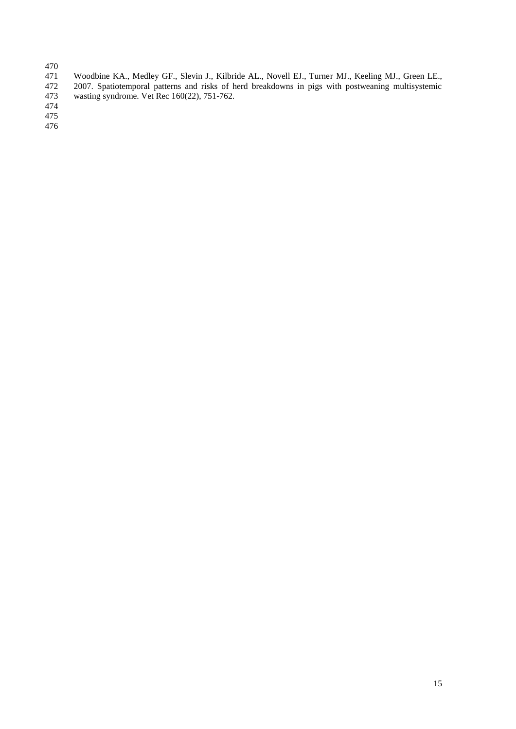- -
- 471 Woodbine KA., Medley GF., Slevin J., Kilbride AL., Novell EJ., Turner MJ., Keeling MJ., Green LE., 472 2007. Spatiotemporal patterns and risks of herd breakdowns in pigs with postweaning multisystemic 472 2007. Spatiotemporal patterns and risks of herd breakdowns in pigs with postweaning multisystemic<br>473 wasting syndrome. Vet Rec 160(22), 751-762. wasting syndrome. Vet Rec 160(22), 751-762.
-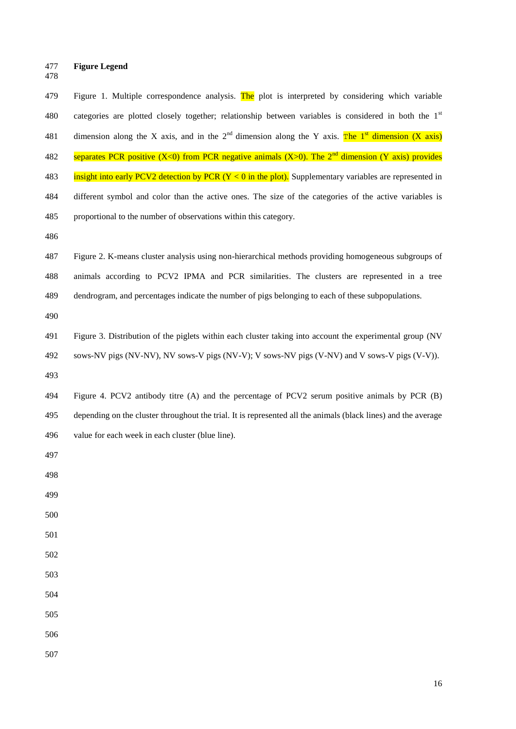- **Figure Legend**
- 

| 479 | Figure 1. Multiple correspondence analysis. The plot is interpreted by considering which variable                         |  |  |  |  |
|-----|---------------------------------------------------------------------------------------------------------------------------|--|--|--|--|
| 480 | categories are plotted closely together; relationship between variables is considered in both the 1st                     |  |  |  |  |
| 481 | dimension along the X axis, and in the 2 <sup>nd</sup> dimension along the Y axis. The 1 <sup>st</sup> dimension (X axis) |  |  |  |  |
| 482 | separates PCR positive (X<0) from PCR negative animals (X>0). The $2nd$ dimension (Y axis) provides                       |  |  |  |  |
| 483 | insight into early PCV2 detection by PCR $(Y < 0$ in the plot). Supplementary variables are represented in                |  |  |  |  |
| 484 | different symbol and color than the active ones. The size of the categories of the active variables is                    |  |  |  |  |
| 485 | proportional to the number of observations within this category.                                                          |  |  |  |  |
| 486 |                                                                                                                           |  |  |  |  |
| 487 | Figure 2. K-means cluster analysis using non-hierarchical methods providing homogeneous subgroups of                      |  |  |  |  |
| 488 | animals according to PCV2 IPMA and PCR similarities. The clusters are represented in a tree                               |  |  |  |  |
| 489 | dendrogram, and percentages indicate the number of pigs belonging to each of these subpopulations.                        |  |  |  |  |
| 490 |                                                                                                                           |  |  |  |  |
| 491 | Figure 3. Distribution of the piglets within each cluster taking into account the experimental group (NV                  |  |  |  |  |
| 492 | sows-NV pigs (NV-NV), NV sows-V pigs (NV-V); V sows-NV pigs (V-NV) and V sows-V pigs (V-V)).                              |  |  |  |  |
| 493 |                                                                                                                           |  |  |  |  |
| 494 | Figure 4. PCV2 antibody titre (A) and the percentage of PCV2 serum positive animals by PCR (B)                            |  |  |  |  |
| 495 | depending on the cluster throughout the trial. It is represented all the animals (black lines) and the average            |  |  |  |  |
| 496 | value for each week in each cluster (blue line).                                                                          |  |  |  |  |
| 497 |                                                                                                                           |  |  |  |  |
| 498 |                                                                                                                           |  |  |  |  |
| 499 |                                                                                                                           |  |  |  |  |
| 500 |                                                                                                                           |  |  |  |  |
| 501 |                                                                                                                           |  |  |  |  |
| 502 |                                                                                                                           |  |  |  |  |
| 503 |                                                                                                                           |  |  |  |  |
| 504 |                                                                                                                           |  |  |  |  |
| 505 |                                                                                                                           |  |  |  |  |
| 506 |                                                                                                                           |  |  |  |  |
| 507 |                                                                                                                           |  |  |  |  |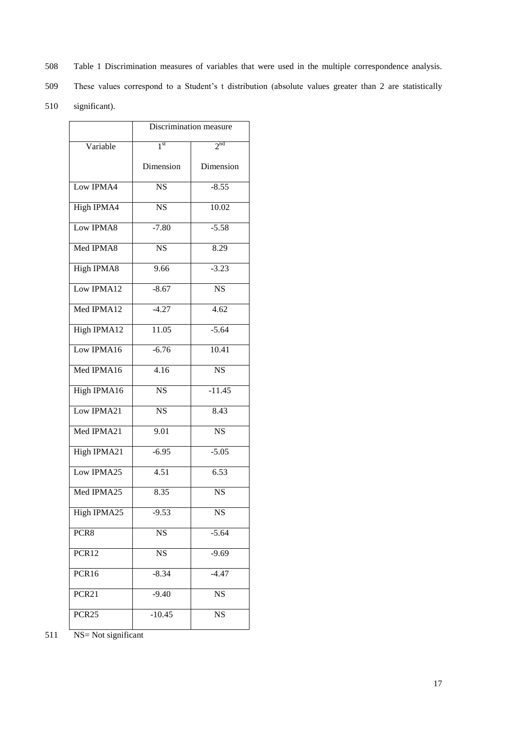- 508 Table 1 Discrimination measures of variables that were used in the multiple correspondence analysis.
- 509 These values correspond to a Student's t distribution (absolute values greater than 2 are statistically
- 510 significant).

|                   | Discrimination measure |                        |  |
|-------------------|------------------------|------------------------|--|
| Variable          | 1 <sup>st</sup>        | 2 <sub>nd</sub>        |  |
|                   | Dimension              | Dimension              |  |
| Low IPMA4         | <b>NS</b>              | $-8.55$                |  |
| <b>High IPMA4</b> | $\overline{\text{NS}}$ | 10.02                  |  |
| Low IPMA8         | $-7.80$                | $-5.58$                |  |
| Med IPMA8         | <b>NS</b>              | 8.29                   |  |
| <b>High IPMA8</b> | 9.66                   | $-3.23$                |  |
| Low IPMA12        | $-8.67$                | <b>NS</b>              |  |
| Med IPMA12        | $-4.27$                | 4.62                   |  |
| High IPMA12       | 11.05                  | $-5.64$                |  |
| Low IPMA16        | $-6.76$                | 10.41                  |  |
| Med IPMA16        | 4.16                   | $\overline{\text{NS}}$ |  |
| High IPMA16       | $\overline{\text{NS}}$ | $-11.45$               |  |
| Low IPMA21        | <b>NS</b>              | 8.43                   |  |
| Med IPMA21        | 9.01                   | $\overline{\text{NS}}$ |  |
| High IPMA21       | $-6.95$                | $-5.05$                |  |
| Low IPMA25        | 4.51                   | 6.53                   |  |
| Med IPMA25        | 8.35                   | $\overline{\text{NS}}$ |  |
| High IPMA25       | $-9.53$                | <b>NS</b>              |  |
| PCR8              | <b>NS</b>              | $-5.64$                |  |
| PCR12             | <b>NS</b>              | $-9.69$                |  |
| PCR16             | $-8.34$                | $-4.47$                |  |
| PCR <sub>21</sub> | $-9.40$                | <b>NS</b>              |  |
| PCR <sub>25</sub> | $-10.45$               | <b>NS</b>              |  |

511 NS= Not significant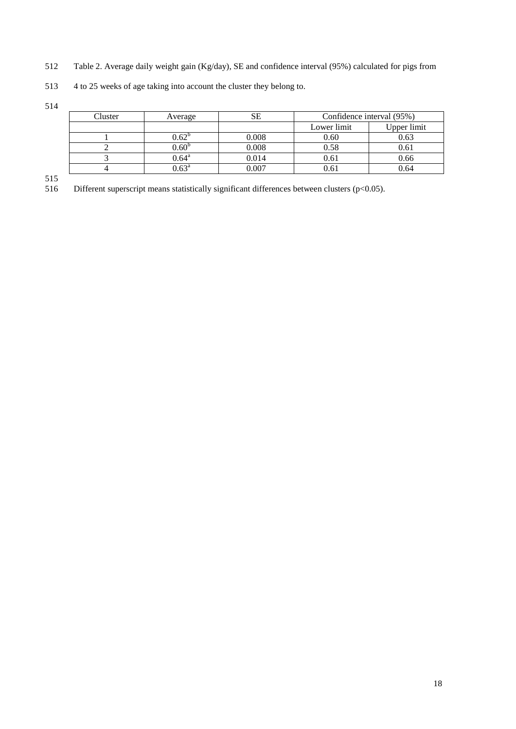- 512 Table 2. Average daily weight gain (Kg/day), SE and confidence interval (95%) calculated for pigs from
- 513 4 to 25 weeks of age taking into account the cluster they belong to.

514

| Cluster | Average           |           | Confidence interval (95%) |             |
|---------|-------------------|-----------|---------------------------|-------------|
|         |                   |           | Lower limit               | Upper limit |
|         | $0.62^{\circ}$    | $0.008\,$ | 0.60                      | 0.63        |
|         | $0.60^{\rm b}$    | 0.008     | 0.58                      | 0.61        |
|         | $0.64^\text{a}$   | 0.014     | 0.61                      | 0.66        |
|         | $0.63^{\text{a}}$ | .007      | 0.61                      | 0.64        |

515 Different superscript means statistically significant differences between clusters (p<0.05).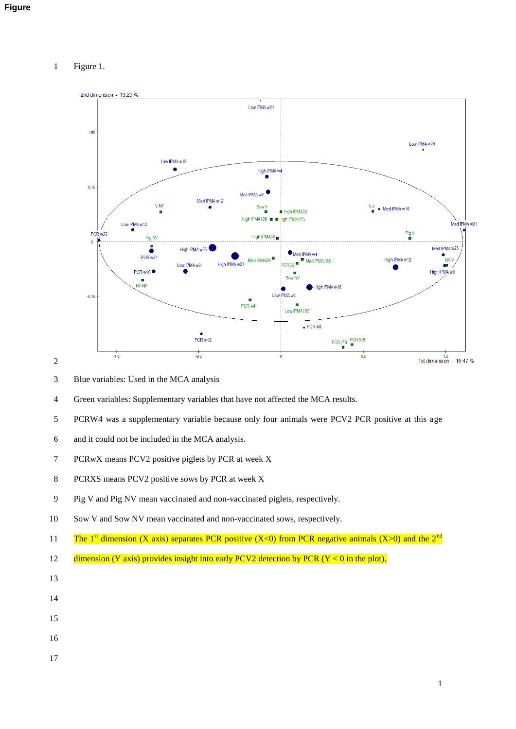## Figure 1.



- Blue variables: Used in the MCA analysis
- Green variables: Supplementary variables that have not affected the MCA results.
- PCRW4 was a supplementary variable because only four animals were PCV2 PCR positive at this age
- and it could not be included in the MCA analysis.
- PCRwX means PCV2 positive piglets by PCR at week X
- PCRXS means PCV2 positive sows by PCR at week X
- Pig V and Pig NV mean vaccinated and non-vaccinated piglets, respectively.
- Sow V and Sow NV mean vaccinated and non-vaccinated sows, respectively.
- 11 The 1<sup>st</sup> dimension (X axis) separates PCR positive (X<0) from PCR negative animals (X>0) and the 2<sup>nd</sup>
- 12 dimension (Y axis) provides insight into early PCV2 detection by PCR (Y < 0 in the plot).
- 
- 
- 
- 
- 
-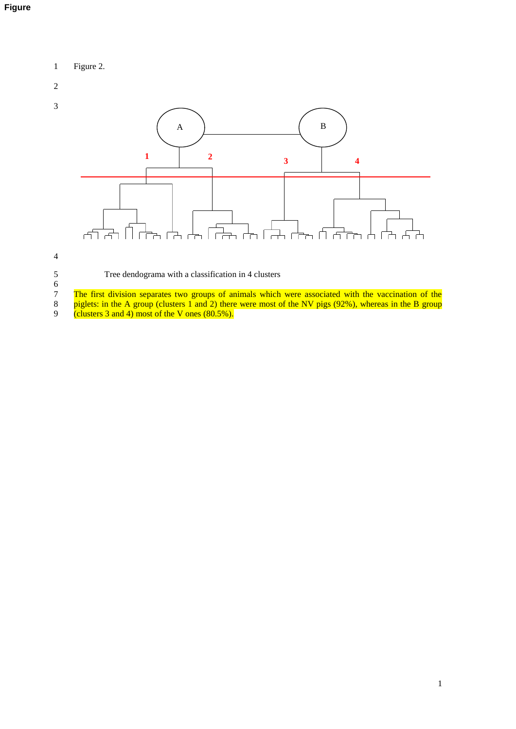# 1 Figure 2.

# 2



## 4

Tree dendograma with a classification in 4 clusters

 $\begin{array}{c} 5 \\ 6 \\ 7 \\ 8 \end{array}$ The first division separates two groups of animals which were associated with the vaccination of the 8 piglets: in the A group (clusters 1 and 2) there were most of the NV pigs (92%), whereas in the B group

9 (clusters 3 and 4) most of the V ones (80.5%).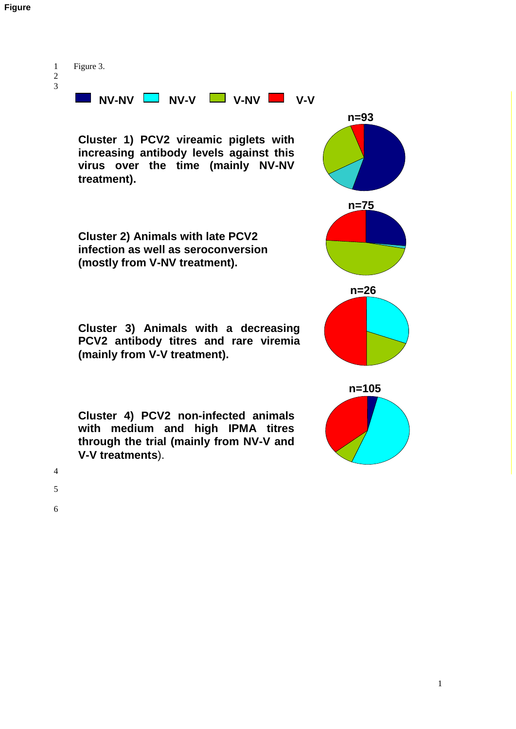## **Figure**